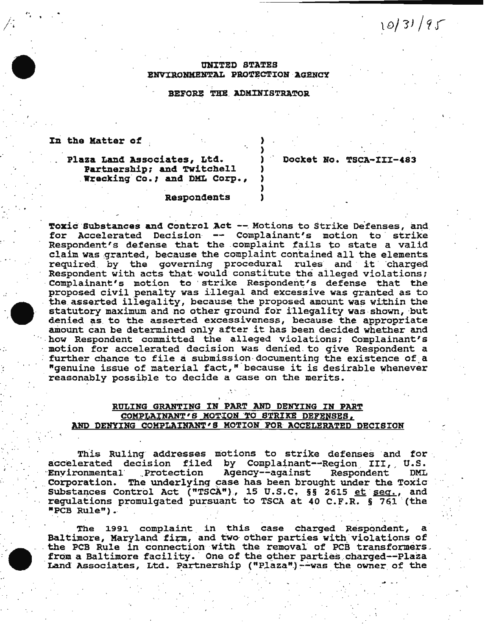# UNITED STATES ENVIRONMENTAL PROTECTION AGENCY

# BEFORE THE ADMINISTRATOR

#### In the Matter of

# Plaza Land Associates, Ltd. Partnership; and Twitchell Wrecking Co.; and DML Corp.,

# Docket No. TSCA-III-483

 $10/31/95$ 

#### Respondents

Toxic Substances and Control Act -- Motions to Strike Defenses, and for Accelerated Decision -- Complainant's motion to strike Respondent's defense that the complaint fails to state a valid claim was granted, because the complaint contained all the elements required by the governing procedural rules and it charged Respondent with acts that would constitute the alleged violations; Complainant's motion to strike Respondent's defense that the proposed civil penalty was illegal and excessive was granted as to the asserted illegality, because the proposed amount was within the statutory maximum and no other ground for illegality was shown, but denied as to the asserted excessiveness, because the appropriate amount can be determined only after it has been decided whether and how Respondent committed the alleged violations; Complainant's motion for accelerated decision was denied to give Respondent a further chance to file a submission documenting the existence of a "genuine issue of material fact," because it is desirable whenever reasonably possible to decide a case on the merits.

### RULING GRANTING IN PART AND DENYING IN PART COMPLAINANT'S MOTION TO STRIKE DEFENSES, AND DENYING COMPLAINANT'S MOTION FOR ACCELERATED DECISION

This Ruling addresses motions to strike defenses and for accelerated decision filed by Complainant--Region III, U.S. Agency--against **Environmental** Protection Respondent DML Corporation. The underlying case has been brought under the Toxic Substances Control Act ("TSCA"), 15 U.S.C. §§ 2615 et seq., and regulations promulgated pursuant to TSCA at 40 C.F.R. § 761 (the "PCB Rule").

The 1991 complaint in this case charged Respondent,  $\mathbf{a}$ Baltimore, Maryland firm, and two other parties with violations of the PCB Rule in connection with the removal of PCB transformers. from a Baltimore facility. One of the other parties charged--Plaza Land Associates, Ltd. Partnership ("Plaza") --was the owner of the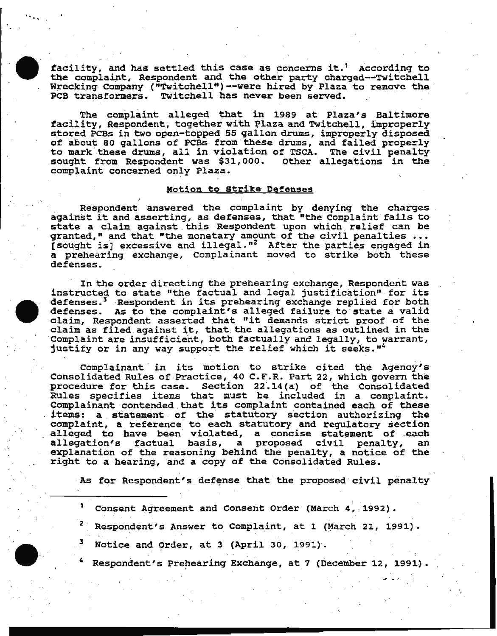facility, and has settled this case as concerns it.' According to the complaint, Respondent and the other party charged~-TWitchell Wrecking Company ("Twitchell")--were hired by Plaza to remove the PCB transformers. Twitchell has never been served.

 $\ddot{\cdot}$  .

The complaint alleged that in 1989 at Plaza's Baltimore facility, Respondent, together with Plaza and Twitchell, improperly stored PCBs in two open-topped 55 gallon drums, improperly disposed of about 80 gallons of PCBs from these drums, and failed properly to mark these drums, all in violation of TSCA. The civil penalty sought from Respondent was \$31,000. Other allegations in the complaint concerned only Plaza.

## Motion to Strike Defenses

Respondent answered the complaint by denying the charges. against it and asserting, as defenses, that "the complaint fails to state a claim against this Respondent upon which relief can be granted," and that "the monetary amount of the civil penalties •.• [sought is] excessive and illegal."<sup>2</sup> After the parties engaged in a prehearing exchange, Complainant moved to strike both these defenses.

In the order directing the prehearing exchange, Respondent was instructed to state "the factual and legal justification" for its defenses.<sup>3</sup> Respondent in its prebearing exchange replied for both defenses. As to the complaint's alleged failure to state a valid claim, Respondent asserted that "it demands strict proof of the claim as filed against it, that the allegations as outlined in the Complaint are insufficient, both factually and legally, to warrant, justify or in any way support the relief which it seeks."4

Complainant in its motion to strike cited the Agency's Consolidated Rules of Practice, 40 C.F.R. Part 22, which govern the procedure for this case. Section 22.14(a) of the Consolidated Rules specifies items that must be included in a complaint. Complainant contended that its complaint contained each of these items: a statement of the statutory section authorizing the complaint, a reference to each statutory and regulatory section alleged to have been violated, a concise statement of each<br>allegation's factual basis, a proposed civil penalty, an allegation's factual basis, a proposed civil penalty, an explanation of the reasoning behind the penalty, a notice of the right to a hearing, and a copy of the Consolidated Rules.

As for Respondent's defense that the proposed civil penalty

<sup>1</sup> Consent Agreement and Consent Order (March 4, 1992).

- Respondent's Answer to Complaint, at 1 (March 21, 1991).
- Notice and Order, at 3 (April 30, 1991).
- Respondent's Prehearing Exchange, at 7 (December 12, 1991).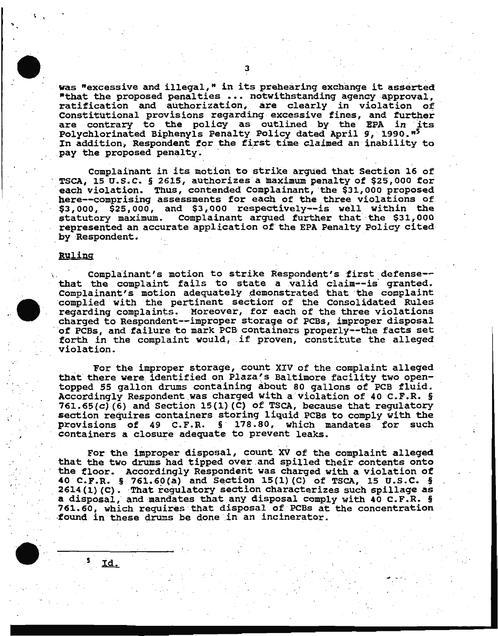was "excessive and illegal," in its prehearing exchange it asserted "that the proposed penalties  $\cdots$  notwithstanding agency approval, ratification and authorization, are clearly in violation of Constitutional provisions regarding excessive fines, and further are contrary to the policy as outlined by the EPA in its Polychlorinated Biphenyls Penalty Policy dated April 9, 1990."5 In addition, Respondent for the first time claimed an inability to pay the proposed penalty.

Complainant in its motion to strike argued that Section 16 of TSCA, 15 U.S.C. § 2615, authorizes a maximum penalty of \$25,000 for each violation. Thus, contended Complainant, the \$31,000 proposed here--comprising assessments for each of the three violations of \$3,000, \$25,000, and \$3,000 respectively--is well within the statutory maximum. Complainant argued further that the \$31,000 Complainant argued further that the \$31,000 represented an accurate application of' the EPA Penalty Policy cited by ·Respondent.

#### Ruling

5

Id.

.. . '

> Complainant's motion to strike Respondent's first defense-that the complaint fails to state a valid claim--is' granted. Complainant's motion adequately demonstrated that the complaint complaint complaint regarding complaints. Moreover, for each of the three violations<br>charged to Respondent--improper storage of PCBs, improper disposal of PCBs, and failure to mark PCB containers properly--the facts set forth in the complaint would, if proven, constitute the alleged violation.

> For the improper storage, count XIV of the complaint alleged that there were identified on Plaza's Baltimore facility two opentopped 55 gallon drums containing about 80 gallons of PCB fluid. Accordingly Respondent was charged with a violation of 40 C.F.R. § 761.65(c)(6) and Section 15(1)(C) of TSCA, because that regulatory section requires containers storing liquid PCBs to comply with the provisions of 49 C.F.R. § 178.80, which mandates for such containers a closure adequate to prevent leaks.

> For the improper disposal, count XV of the complaint alleqed that the two drums had tipped over and spilled their contents onto the floor. Accordingly Respondent was charged with a violation of 40 C.F.R. § 761.60(a) and Section 15(1)(C) of TSCA, 15 U.S.C. §  $2614 (1) (C)$ . That regulatory section characterizes such spillage as a disposal, and mandates that any disposal comply with 40 C.F.R. § 761.60, which requires that disposal of PCBs at the concentration found in these drums be done in an incinerator.

. The second contribution is a second contribution of  $\mathcal{H}^1$  ,  $\mathcal{H}^1$  ,  $\mathcal{H}^1$  ,  $\mathcal{H}^1$  ,  $\mathcal{H}^1$ 

. '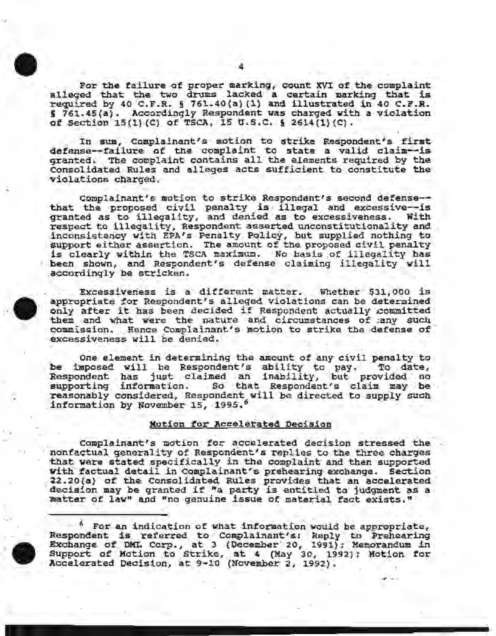

*.. :.* 

··A  $\bullet$ 

For the failure of proper marking, count XVI of the complaint<br>alleged that the two drums lacked a certain marking that is required by 40 C.F.R. § 761.40(a)(1) and illustrated in 40 C.F.R.  $\frac{1}{2}$  761.45(a). Accordingly Respondent was charged with a violation of Section l5(1)(C) of TSCA, 15 U.S.C. § 26l4(l}(C).

In sum, Complainant's motion to strike Respondent's first defense--failure of the complaint to state a valid claim--is granted. The complaint contains all the elements required by the Consolidated Rules and alleges acts sufficient to constitute the violations charged.

Complainant's motion to strike Respondent's second defense-that the proposed civil penalty is illegal and excessive--is<br>granted as to illegality, and denied as to excessiveness. With granted as to illegality, and denied as to excessiveness. respect to illegality, Respondent asserted unconstitutionality and inconsistency with EPA's Penalty Policy, but supplied nothing to support either assertion. The amount of the proposed civil penalty is clearly within the TSCA maximum. No basis of illegality has been shown, and Respondent's defense claiming illegality will accordingly be stricken.

Excessiveness is a different matter. Whether \$31,000 is appropriate for Respondent's alleged violations can be determined only after it has been decided if Respondent actually committed them and what were the nature and circumstances of ;any such commission. Hence Complainant's motion to strike the defense of excessiveness will be denied.

One element in determining the amount of any civil penalty to be imposed will be Respondent's ability to pay. To date, Respondent has just claimed an inability, but provided no supporting information. So that Respondent's claim may be reasonably considered, Respondent will be directed to supply such information by November 15, 1995.6

#### .Motion for Accelerated Decision

Complainant's motion for accelerated decision stressed the nonfactual generality of Respondent's replies to the three charges that were stated specifically in the complaint and then supported with factual detail in Complainant's prehearing exchange. Section 22.20(a) of the Consolidated Rules provides that an accelerated decision may be granted if "a party is entitled to judgment as a matter of law" and "no genuine issue of material fact exists."

<sup>6</sup> For an indication of what information would be appropriate,<br>Respondent is referred to Complainant's: Reply to Prehearing<br>Exchange of DML Corp., at 3 (December<sup>-</sup> 20, 1991); Memorandum in Exchange of DML Corp., at 3 (December 20, 1991); Memorandum in<br>Support of Motion to Strike, at 4 (May 30, 1992); Motion for Accelerated Decision, at 9-10 (November 2, 1992);

 $\sim$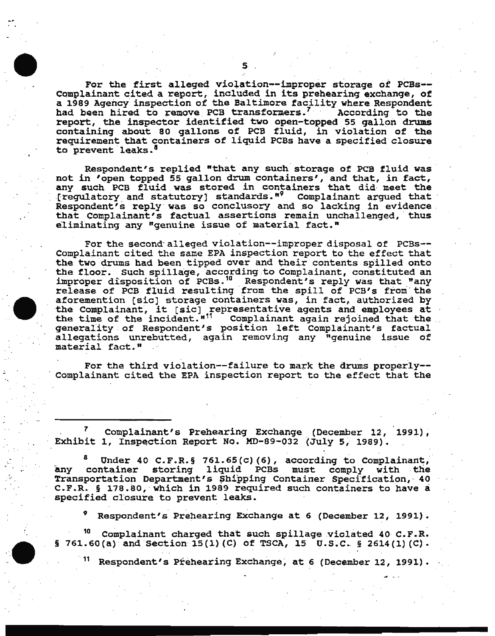For the first alleged violation--improper storage of PCBs-- Complainant cited a report, included in its prehearing exchange, of a 1989 Agency inspection of the Baltimore facility where Respondent had been hired to remove PCB transformers.<sup>7</sup> according to the report, the inspector identified two open-topped \_S5 gallon drums containing about 80 gallons of PCB fluid, in violation of the requirement that containers of liquid PCBs have a specified closure to prevent leaks.<sup>8</sup>

Respondent's replied "that any such storage of PCB fluid was not in 'open topped 55 gallon drum containers', and that, in fact, any such PCB fluid was stored in containers that did meet the [regulatory and statutory] standards." Complainant argued that Respondent's reply was so conclusory and so lacking in evidence.<br>that Complainant's factual assertions remain unchallenged, thus eliminating any "genuine issue of material fact."

For the second alleged violation--improper disposal of PCBs--Complainant cited the same EPA inspection report to the effect that the two drums had been tipped over and their contents spilled onto the floor. Such spillage, according to Complainant, constituted an improper disposition of PCBs.<sup>10</sup> Respondent's reply was that "any release of PCB fluid resulting from the spill of PCB's from the aforemention [sic] storage containers was, in fact, authorized by aroremention [sic] storage containers was, in ract, authorized by<br>the Complainant, it [sic] representative agents and employees at the time of the incident."<sup>11</sup> Complainant again rejoined that the .<br>generality of Respondent's position left Complainant's factual generality of Respondent's position left Complainant's factual<br>allegations unrebutted, again removing any "genuine issue of material fact."

For the third violation--failure to mark the drums properly--Complainant cited the EPA inspection report to the effect that the

Complainant's Prehearing Exchange (December 12, 1991), Exhibit 1, Inspection Report No. MD-89-032 (July 5, 1989).

Under 40 C.F.R. § 761.65(c)(6), according to Complainant, any container storing liquid PCBs must comply with the Transportation Department's Shipping Container Specification, 40 C.F.R. § 178.80, which in 1989 required such containers to have a specified closure to prevent leaks.

.

. ·

*<sup>9</sup>*Respondent's Prehearing Exchange at 6 (December 12, 1991).

1 <sup>10</sup> Complainant charged that such spillage violated 40 C.F.R. § 761.60(a) and Section 15(1)(C) of TSCA, 15 U.S.C. § 2614(1)(C).

Respondent's Prehearing Exchange, at 6 (December 12, 1991).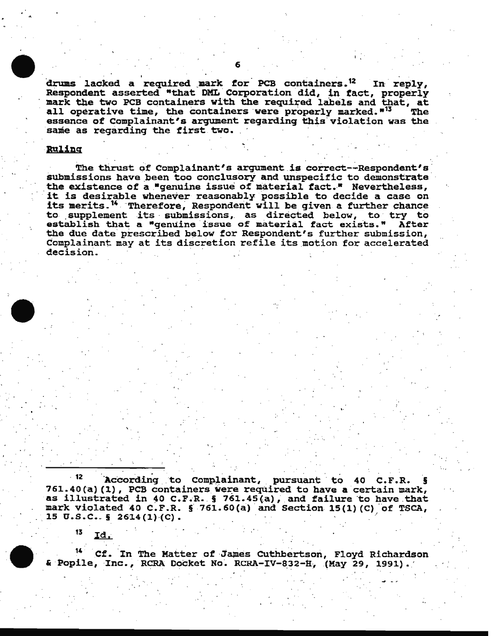drums lacked a required mark for PCB containers.<sup>12</sup> In reply, Respondent asserted "that DML Corporation did, in fact, properly mark the two PCB containers with the required labels and that, at all operative time, the containers were properly marked.<sup>"13</sup> **The** essence of Complainant's argument regarding this violation was the same as regarding the first two.

## Ruling

13

Id.

The thrust of Complainant's argument is correct--Respondent's submissions have been too conclusory and unspecific to demonstrate the existence of a "genuine issue of material fact." Nevertheless, it is desirable whenever reasonably possible to decide a case on its merits.<sup>14</sup> Therefore, Respondent will be given a further chance to supplement its submissions, as directed below, to try to establish that a "genuine issue of material fact exists." After the due date prescribed below for Respondent's further submission, Complainant may at its discretion refile its motion for accelerated decision.

- 12 According to Complainant, pursuant to 40 C.F.R. 761.40(a)(1), PCB containers were required to have a certain mark, as illustrated in 40 C.F.R. § 761.45(a), and failure to have that mark violated 40 C.F.R. § 761.60(a) and Section 15(1)(C) of TSCA, 15 U.S.C.  $\frac{1}{2}$  2614(1)(C).

Cf. In The Matter of James Cuthbertson, Floyd Richardson & Popile, Inc., RCRA Docket No. RCRA-IV-832-H, (May 29, 1991).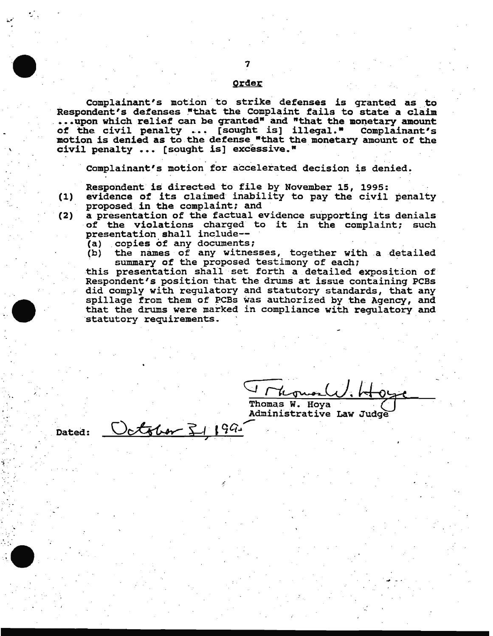#### Order

Complainant's motion to strike defenses is granted as to Respondent's defenses "that the Complaint fails to state a claim ... upon which relief can be granted" and "that the monetary amount of the civil penalty ... [sought is] illegal." Complainant's motion is denied as to the defense "that the monetary amount of the civil penalty  $\ldots$  [sought is] excessive."

Complainant's motion for accelerated decision is denied.

Respondent is directed to file by November 15, 1995:

. .

(1) evidence of its claimed inability to pay the civil penalty

proposed in the complaint; and<br>a presentation of the factual evidence supporting its denials end a proposed in the complaint, and<br>(2) a presentation of the factual evidence supporting its denials<br>of the violations charged to it in the complaint; such presentation shall include--<br>(a) copies of any documents;

October 51199

(a) copies of any documents;<br>(b) the names of any witnesses, together with a detailed summary of the proposed testimony of each;

this presentation shall set forth a detailed exposition of Respondent's position that the drums at issue containing PCBs did comply with regulatory and statutory standards, that any spillage from them of PCBs was authorized by the Agency, and that the drums were marked in compliance with regulatory and statutory requirements.

Thomas W. Hoya Administrative Law Judge

. Dated:

/ . .

.·

.

. \_; '